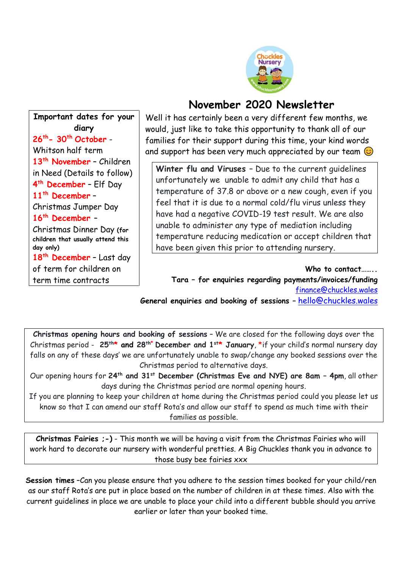

## **November 2020 Newsletter**

**Important dates for your diary 26 th- 30th October** - Whitson half term **13th November** – Children in Need (Details to follow) **4 th December** – Elf Day **11th December** – Christmas Jumper Day **16th December** – Christmas Dinner Day **(for children that usually attend this day only) 18th December** – Last day of term for children on term time contracts

Well it has certainly been a very different few months, we would, just like to take this opportunity to thank all of our families for their support during this time, your kind words and support has been very much appreciated by our team  $\circledcirc$ 

**Winter flu and Viruses** – Due to the current guidelines unfortunately we unable to admit any child that has a temperature of 37.8 or above or a new cough, even if you feel that it is due to a normal cold/flu virus unless they have had a negative COVID-19 test result. We are also unable to administer any type of mediation including temperature reducing medication or accept children that have been given this prior to attending nursery.

 **Who to contact…….. Tara – for enquiries regarding payments/invoices/funding** [finance@chuckles.wales](mailto:finance@chuckles.wales) **General enquiries and booking of sessions –** [hello@chuckles.wale](mailto:hello@chuckles.wales)[s](mailto:hello@chuckles.wales)

**Christmas opening hours and booking of sessions** – We are closed for the following days over the Christmas period - **25th\* and 28 th\* December and 1st\* January**, \*if your child's normal nursery day falls on any of these days' we are unfortunately unable to swap/change any booked sessions over the Christmas period to alternative days.

Our opening hours for **24th and 31st December (Christmas Eve and NYE) are 8am – 4pm**, all other days during the Christmas period are normal opening hours.

If you are planning to keep your children at home during the Christmas period could you please let us know so that I can amend our staff Rota's and allow our staff to spend as much time with their families as possible.

**Christmas Fairies ;-)** - This month we will be having a visit from the Christmas Fairies who will work hard to decorate our nursery with wonderful pretties. A Big Chuckles thank you in advance to those busy bee fairies xxx

**Session times** –Can you please ensure that you adhere to the session times booked for your child/ren as our staff Rota's are put in place based on the number of children in at these times. Also with the current guidelines in place we are unable to place your child into a different bubble should you arrive earlier or later than your booked time.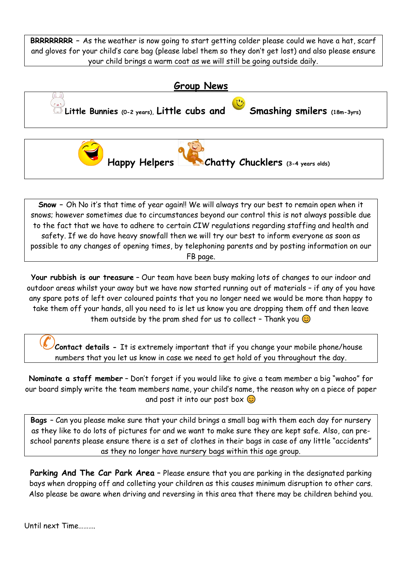**BRRRRRRRR –** As the weather is now going to start getting colder please could we have a hat, scarf and gloves for your child's care bag (please label them so they don't get lost) and also please ensure your child brings a warm coat as we will still be going outside daily.



**Snow –** Oh No it's that time of year again!! We will always try our best to remain open when it snows; however sometimes due to circumstances beyond our control this is not always possible due to the fact that we have to adhere to certain CIW regulations regarding staffing and health and safety. If we do have heavy snowfall then we will try our best to inform everyone as soon as possible to any changes of opening times, by telephoning parents and by posting information on our FB page.

**Your rubbish is our treasure** – Our team have been busy making lots of changes to our indoor and outdoor areas whilst your away but we have now started running out of materials – if any of you have any spare pots of left over coloured paints that you no longer need we would be more than happy to take them off your hands, all you need to is let us know you are dropping them off and then leave them outside by the pram shed for us to collect - Thank you  $\odot$ 

**Contact details -** It is extremely important that if you change your mobile phone/house numbers that you let us know in case we need to get hold of you throughout the day.

**Nominate a staff member** – Don't forget if you would like to give a team member a big "wahoo" for our board simply write the team members name, your child's name, the reason why on a piece of paper and post it into our post box  $\odot$ 

**Bags** – Can you please make sure that your child brings a small bag with them each day for nursery as they like to do lots of pictures for and we want to make sure they are kept safe. Also, can preschool parents please ensure there is a set of clothes in their bags in case of any little "accidents" as they no longer have nursery bags within this age group.

**Parking And The Car Park Area** - Please ensure that you are parking in the designated parking bays when dropping off and colleting your children as this causes minimum disruption to other cars. Also please be aware when driving and reversing in this area that there may be children behind you.

Until next Time……….